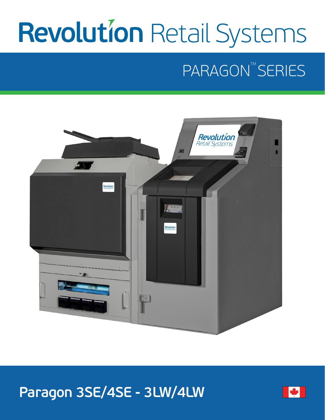# **Revolution Retail Systems**

# PARAGON<sup>TM</sup> SERIES



## **Paragon 3SE/4SE - 3LW/4LW**

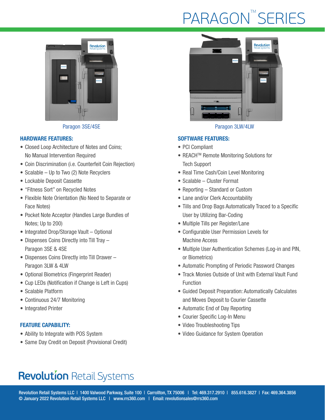# PARAGON<sup>™</sup>SERIES



Paragon 3SE/4SE Paragon 3LW/4LW

#### HARDWARE FEATURES:

- Closed Loop Architecture of Notes and Coins; No Manual Intervention Required
- Coin Discrimination (i.e. Counterfeit Coin Rejection)
- Scalable Up to Two (2) Note Recyclers
- Lockable Deposit Cassette
- "Fitness Sort" on Recycled Notes
- Flexible Note Orientation (No Need to Separate or Face Notes)
- Pocket Note Acceptor (Handles Large Bundles of Notes; Up to 200)
- Integrated Drop/Storage Vault Optional
- Dispenses Coins Directly into Till Tray Paragon 3SE & 4SE
- Dispenses Coins Directly into Till Drawer Paragon 3LW & 4LW
- Optional Biometrics (Fingerprint Reader)
- Cup LEDs (Notification if Change is Left in Cups)
- Scalable Platform
- Continuous 24/7 Monitoring
- Integrated Printer

#### FEATURE CAPABILITY:

- Ability to Integrate with POS System
- Same Day Credit on Deposit (Provisional Credit)



#### SOFTWARE FEATURES:

- PCI Compliant
- REACH<sup>™</sup> Remote Monitoring Solutions for Tech Support
- Real Time Cash/Coin Level Monitoring
- Scalable Cluster Format
- Reporting Standard or Custom
- Lane and/or Clerk Accountability
- Tills and Drop Bags Automatically Traced to a Specific User by Utilizing Bar-Coding
- Multiple Tills per Register/Lane
- Configurable User Permission Levels for Machine Access
- Multiple User Authentication Schemes (Log-in and PIN, or Biometrics)
- Automatic Prompting of Periodic Password Changes
- Track Monies Outside of Unit with External Vault Fund Function
- Guided Deposit Preparation: Automatically Calculates and Moves Deposit to Courier Cassette
- Automatic End of Day Reporting
- Courier Specific Log-In Menu
- Video Troubleshooting Tips
- Video Guidance for System Operation

### **Revolution Retail Systems**

Revolution Retail Systems LLC | 1400 Valwood Parkway, Suite 100 | Carrollton, TX 75006 | Tel: 469.317.2910 | 855.616.3827 | Fax: 469.364.3856 © January 2022 Revolution Retail Systems LLC | www.rrs360.com | Email: revolutionsales@rrs360.com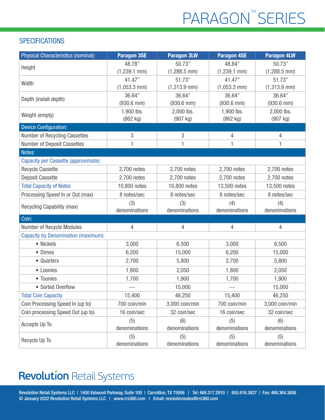# PARAGON<sup>™</sup>SERIES

### **SPECIFICATIONS**

| Physical Characteristics (nominal):        | <b>Paragon 3SE</b> | <b>Paragon 3LW</b> | <b>Paragon 4SE</b> | <b>Paragon 4LW</b> |
|--------------------------------------------|--------------------|--------------------|--------------------|--------------------|
| Height                                     | 48.78"             | 50.73"             | 48.84"             | 50.73"             |
|                                            | $(1,239.1$ mm)     | $(1,288.5$ mm)     | $(1,239.1$ mm)     | $(1,288.5$ mm)     |
| Width                                      | 41.47"             | 51.73"             | 41.47"             | 51.73"             |
|                                            | $(1,053.3$ mm)     | $(1,313.9$ mm $)$  | $(1,053.3)$ mm)    | $(1,313.9$ mm)     |
| Depth (install depth)                      | 36.64"             | 36.64"             | 36.64"             | 36.64"             |
|                                            | $(930.6$ mm $)$    | $(930.6$ mm $)$    | $(930.6$ mm $)$    | $(930.6$ mm)       |
| Weight (empty)                             | 1,900 lbs.         | 2,000 lbs.         | 1,900 lbs.         | 2,000 lbs.         |
|                                            | (862 kg)           | (907 kg)           | (862 kg)           | $(907$ kg)         |
| <b>Device Configuration:</b>               |                    |                    |                    |                    |
| Number of Recycling Cassettes              | 3                  | 3                  | 4                  | $\overline{4}$     |
| Number of Deposit Cassettes                | 1                  | 1                  | 1                  | 1                  |
| Notes:                                     |                    |                    |                    |                    |
| Capacity per Cassette (approximate):       |                    |                    |                    |                    |
| <b>Recycle Cassette</b>                    | 2,700 notes        | 2,700 notes        | 2,700 notes        | 2,700 notes        |
| <b>Deposit Cassette</b>                    | 2,700 notes        | 2,700 notes        | 2,700 notes        | 2,700 notes        |
| <b>Total Capacity of Notes</b>             | 10,800 notes       | 10,800 notes       | 13,500 notes       | 13,500 notes       |
| Processing Speed In or Out (max)           | 8 notes/sec        | 8 notes/sec        | 8 notes/sec        | 8 notes/sec        |
| Recycling Capability (max)                 | (3)                | (3)                | (4)                | (4)                |
|                                            | denominations      | denominations      | denominations      | denominations      |
| Coin:                                      |                    |                    |                    |                    |
| Number of Recycle Modules                  | 4                  | 4                  | 4                  | $\overline{4}$     |
| <b>Capacity by Denomination (maximum):</b> |                    |                    |                    |                    |
| • Nickels                                  | 3,000              | 6,500              | 3,000              | 6,500              |
| • Dimes                                    | 6,200              | 15,000             | 6,200              | 15,000             |
| • Quarters                                 | 2,700              | 5,800              | 2,700              | 5,800              |
| • Loonies                                  | 1,800              | 2,050              | 1,800              | 2,050              |
| • Toonies                                  | 1,700              | 1,900              | 1,700              | 1,900              |
| • Sorted Overflow                          |                    | 15,000             |                    | 15,000             |
| <b>Total Coin Capacity</b>                 | 15,400             | 46,250             | 15,400             | 46,250             |
| Coin Processing Speed In (up to)           | 700 coin/min       | 3,000 coin/min     | 700 coin/min       | 3,000 coin/min     |
| Coin processing Speed Out (up to)          | 16 coin/sec        | 32 coin/sec        | 16 coin/sec        | 32 coin/sec        |
| Accepts Up To                              | (5)                | (6)                | (5)                | (6)                |
|                                            | denominations      | denominations      | denominations      | denominations      |
| Recycle Up To                              | (5)                | (5)                | (5)                | (5)                |
|                                            | denominations      | denominations      | denominations      | denominations      |

### **Revolution Retail Systems**

Revolution Retail Systems LLC | 1400 Valwood Parkway, Suite 100 | Carrollton, TX 75006 | Tel: 469.317.2910 | 855.616.3827 | Fax: 469.364.3856 © January 2022 Revolution Retail Systems LLC | www.rrs360.com | Email: revolutionsales@rrs360.com